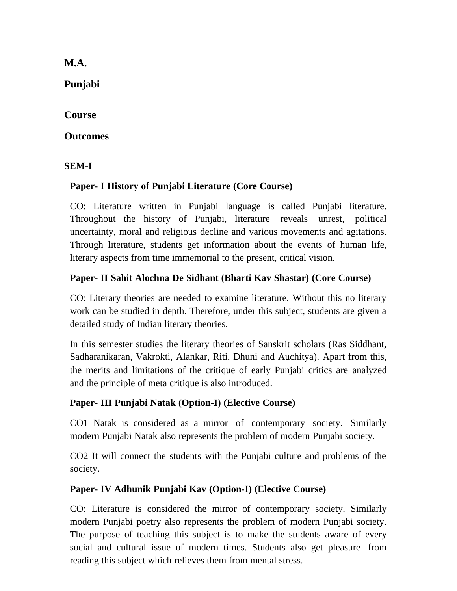**M.A.** 

**Punjabi**

**Course** 

### **Outcomes**

**SEM-I**

# **Paper- I History of Punjabi Literature (Core Course)**

CO: Literature written in Punjabi language is called Punjabi literature. Throughout the history of Punjabi, literature reveals unrest, political uncertainty, moral and religious decline and various movements and agitations. Through literature, students get information about the events of human life, literary aspects from time immemorial to the present, critical vision.

## **Paper- II Sahit Alochna De Sidhant (Bharti Kav Shastar) (Core Course)**

CO: Literary theories are needed to examine literature. Without this no literary work can be studied in depth. Therefore, under this subject, students are given a detailed study of Indian literary theories.

In this semester studies the literary theories of Sanskrit scholars (Ras Siddhant, Sadharanikaran, Vakrokti, Alankar, Riti, Dhuni and Auchitya). Apart from this, the merits and limitations of the critique of early Punjabi critics are analyzed and the principle of meta critique is also introduced.

## **Paper- III Punjabi Natak (Option-I) (Elective Course)**

CO1 Natak is considered as a mirror of contemporary society. Similarly modern Punjabi Natak also represents the problem of modern Punjabi society.

CO2 It will connect the students with the Punjabi culture and problems of the society.

## **Paper- IV Adhunik Punjabi Kav (Option-I) (Elective Course)**

CO: Literature is considered the mirror of contemporary society. Similarly modern Punjabi poetry also represents the problem of modern Punjabi society. The purpose of teaching this subject is to make the students aware of every social and cultural issue of modern times. Students also get pleasure from reading this subject which relieves them from mental stress.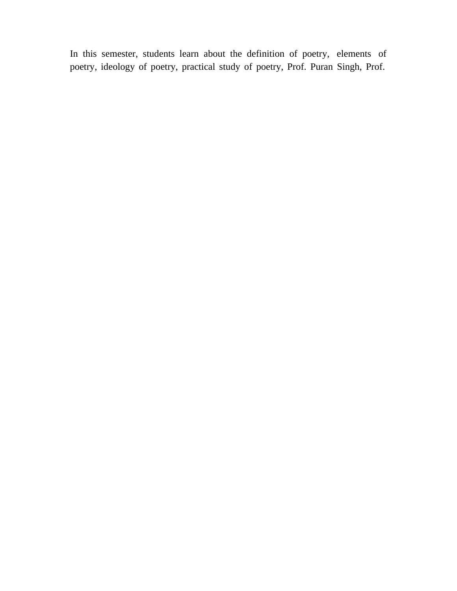In this semester, students learn about the definition of poetry, elements of poetry, ideology of poetry, practical study of poetry, Prof. Puran Singh, Prof.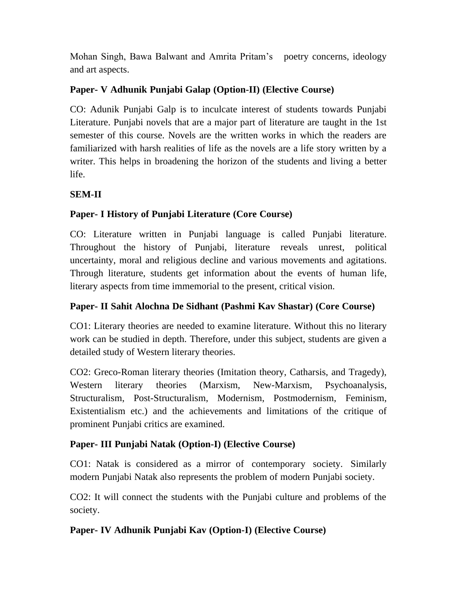Mohan Singh, Bawa Balwant and Amrita Pritam's poetry concerns, ideology and art aspects.

### **Paper- V Adhunik Punjabi Galap (Option-II) (Elective Course)**

CO: Adunik Punjabi Galp is to inculcate interest of students towards Punjabi Literature. Punjabi novels that are a major part of literature are taught in the 1st semester of this course. Novels are the written works in which the readers are familiarized with harsh realities of life as the novels are a life story written by a writer. This helps in broadening the horizon of the students and living a better life.

### **SEM-II**

### **Paper- I History of Punjabi Literature (Core Course)**

CO: Literature written in Punjabi language is called Punjabi literature. Throughout the history of Punjabi, literature reveals unrest, political uncertainty, moral and religious decline and various movements and agitations. Through literature, students get information about the events of human life, literary aspects from time immemorial to the present, critical vision.

### **Paper- II Sahit Alochna De Sidhant (Pashmi Kav Shastar) (Core Course)**

CO1: Literary theories are needed to examine literature. Without this no literary work can be studied in depth. Therefore, under this subject, students are given a detailed study of Western literary theories.

CO2: Greco-Roman literary theories (Imitation theory, Catharsis, and Tragedy), Western literary theories (Marxism, New-Marxism, Psychoanalysis, Structuralism, Post-Structuralism, Modernism, Postmodernism, Feminism, Existentialism etc.) and the achievements and limitations of the critique of prominent Punjabi critics are examined.

### **Paper- III Punjabi Natak (Option-I) (Elective Course)**

CO1: Natak is considered as a mirror of contemporary society. Similarly modern Punjabi Natak also represents the problem of modern Punjabi society.

CO2: It will connect the students with the Punjabi culture and problems of the society.

### **Paper- IV Adhunik Punjabi Kav (Option-I) (Elective Course)**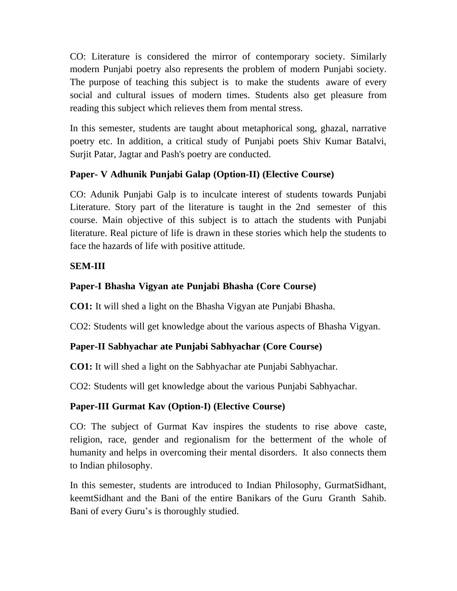CO: Literature is considered the mirror of contemporary society. Similarly modern Punjabi poetry also represents the problem of modern Punjabi society. The purpose of teaching this subject is to make the students aware of every social and cultural issues of modern times. Students also get pleasure from reading this subject which relieves them from mental stress.

In this semester, students are taught about metaphorical song, ghazal, narrative poetry etc. In addition, a critical study of Punjabi poets Shiv Kumar Batalvi, Surjit Patar, Jagtar and Pash's poetry are conducted.

### **Paper- V Adhunik Punjabi Galap (Option-II) (Elective Course)**

CO: Adunik Punjabi Galp is to inculcate interest of students towards Punjabi Literature. Story part of the literature is taught in the 2nd semester of this course. Main objective of this subject is to attach the students with Punjabi literature. Real picture of life is drawn in these stories which help the students to face the hazards of life with positive attitude.

### **SEM-III**

### **Paper-I Bhasha Vigyan ate Punjabi Bhasha (Core Course)**

**CO1:** It will shed a light on the Bhasha Vigyan ate Punjabi Bhasha.

CO2: Students will get knowledge about the various aspects of Bhasha Vigyan.

### **Paper-II Sabhyachar ate Punjabi Sabhyachar (Core Course)**

**CO1:** It will shed a light on the Sabhyachar ate Punjabi Sabhyachar.

CO2: Students will get knowledge about the various Punjabi Sabhyachar.

## **Paper-III Gurmat Kav (Option-I) (Elective Course)**

CO: The subject of Gurmat Kav inspires the students to rise above caste, religion, race, gender and regionalism for the betterment of the whole of humanity and helps in overcoming their mental disorders. It also connects them to Indian philosophy.

In this semester, students are introduced to Indian Philosophy, GurmatSidhant, keemtSidhant and the Bani of the entire Banikars of the Guru Granth Sahib. Bani of every Guru's is thoroughly studied.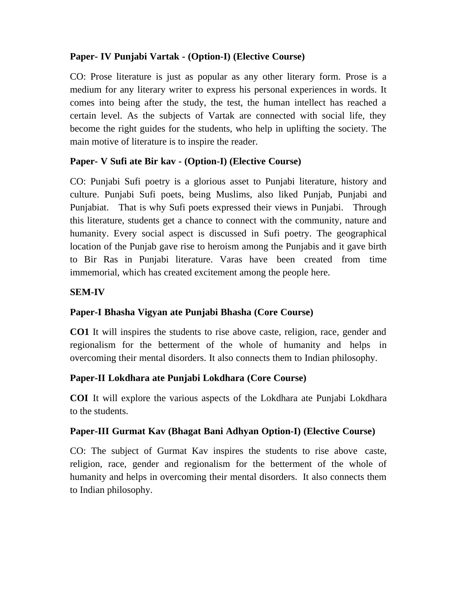### **Paper- IV Punjabi Vartak - (Option-I) (Elective Course)**

CO: Prose literature is just as popular as any other literary form. Prose is a medium for any literary writer to express his personal experiences in words. It comes into being after the study, the test, the human intellect has reached a certain level. As the subjects of Vartak are connected with social life, they become the right guides for the students, who help in uplifting the society. The main motive of literature is to inspire the reader.

### **Paper- V Sufi ate Bir kav - (Option-I) (Elective Course)**

CO: Punjabi Sufi poetry is a glorious asset to Punjabi literature, history and culture. Punjabi Sufi poets, being Muslims, also liked Punjab, Punjabi and Punjabiat. That is why Sufi poets expressed their views in Punjabi. Through this literature, students get a chance to connect with the community, nature and humanity. Every social aspect is discussed in Sufi poetry. The geographical location of the Punjab gave rise to heroism among the Punjabis and it gave birth to Bir Ras in Punjabi literature. Varas have been created from time immemorial, which has created excitement among the people here.

### **SEM-IV**

### **Paper-I Bhasha Vigyan ate Punjabi Bhasha (Core Course)**

**CO1** It will inspires the students to rise above caste, religion, race, gender and regionalism for the betterment of the whole of humanity and helps in overcoming their mental disorders. It also connects them to Indian philosophy.

### **Paper-II Lokdhara ate Punjabi Lokdhara (Core Course)**

**COI** It will explore the various aspects of the Lokdhara ate Punjabi Lokdhara to the students.

### **Paper-III Gurmat Kav (Bhagat Bani Adhyan Option-I) (Elective Course)**

CO: The subject of Gurmat Kav inspires the students to rise above caste, religion, race, gender and regionalism for the betterment of the whole of humanity and helps in overcoming their mental disorders. It also connects them to Indian philosophy.